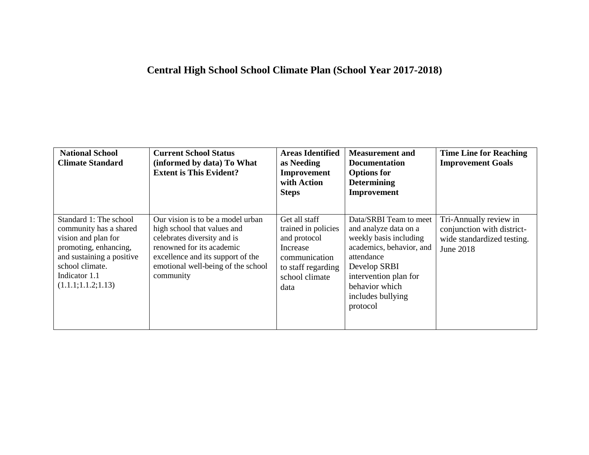## **Central High School School Climate Plan (School Year 2017-2018)**

| <b>National School</b><br><b>Climate Standard</b>                                                                                                                                         | <b>Current School Status</b><br>(informed by data) To What<br><b>Extent is This Evident?</b>                                                                                                                         | <b>Areas Identified</b><br>as Needing<br>Improvement<br>with Action<br><b>Steps</b>                                               | <b>Measurement</b> and<br><b>Documentation</b><br><b>Options</b> for<br><b>Determining</b><br>Improvement                                                                                                       | <b>Time Line for Reaching</b><br><b>Improvement Goals</b>                                       |
|-------------------------------------------------------------------------------------------------------------------------------------------------------------------------------------------|----------------------------------------------------------------------------------------------------------------------------------------------------------------------------------------------------------------------|-----------------------------------------------------------------------------------------------------------------------------------|-----------------------------------------------------------------------------------------------------------------------------------------------------------------------------------------------------------------|-------------------------------------------------------------------------------------------------|
| Standard 1: The school<br>community has a shared<br>vision and plan for<br>promoting, enhancing,<br>and sustaining a positive<br>school climate.<br>Indicator 1.1<br>(1.1.1; 1.1.2; 1.13) | Our vision is to be a model urban<br>high school that values and<br>celebrates diversity and is<br>renowned for its academic<br>excellence and its support of the<br>emotional well-being of the school<br>community | Get all staff<br>trained in policies<br>and protocol<br>Increase<br>communication<br>to staff regarding<br>school climate<br>data | Data/SRBI Team to meet<br>and analyze data on a<br>weekly basis including<br>academics, behavior, and<br>attendance<br>Develop SRBI<br>intervention plan for<br>behavior which<br>includes bullying<br>protocol | Tri-Annually review in<br>conjunction with district-<br>wide standardized testing.<br>June 2018 |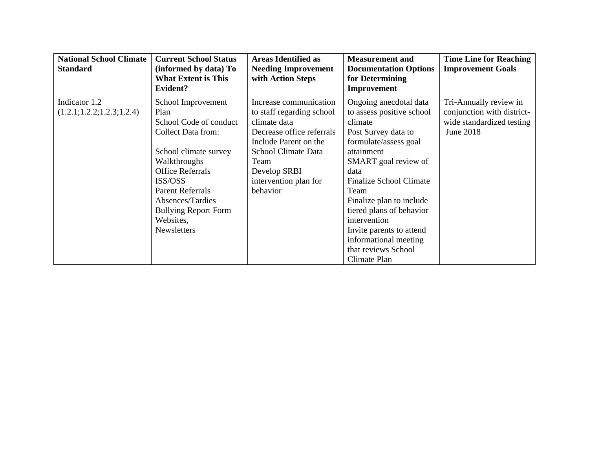| <b>National School Climate</b><br><b>Standard</b> | <b>Current School Status</b><br>(informed by data) To<br><b>What Extent is This</b><br>Evident? | <b>Areas Identified as</b><br><b>Needing Improvement</b><br>with Action Steps | <b>Measurement</b> and<br><b>Documentation Options</b><br>for Determining<br>Improvement | <b>Time Line for Reaching</b><br><b>Improvement Goals</b> |
|---------------------------------------------------|-------------------------------------------------------------------------------------------------|-------------------------------------------------------------------------------|------------------------------------------------------------------------------------------|-----------------------------------------------------------|
| Indicator 1.2                                     | School Improvement                                                                              | Increase communication                                                        | Ongoing anecdotal data                                                                   | Tri-Annually review in                                    |
| (1.2.1; 1.2.2; 1.2.3; 1.2.4)                      | Plan                                                                                            | to staff regarding school                                                     | to assess positive school                                                                | conjunction with district-                                |
|                                                   | School Code of conduct                                                                          | climate data                                                                  | climate                                                                                  | wide standardized testing                                 |
|                                                   | <b>Collect Data from:</b>                                                                       | Decrease office referrals                                                     | Post Survey data to                                                                      | June 2018                                                 |
|                                                   |                                                                                                 | Include Parent on the                                                         | formulate/assess goal                                                                    |                                                           |
|                                                   | School climate survey                                                                           | School Climate Data                                                           | attainment                                                                               |                                                           |
|                                                   | Walkthroughs                                                                                    | Team                                                                          | SMART goal review of                                                                     |                                                           |
|                                                   | <b>Office Referrals</b>                                                                         | Develop SRBI                                                                  | data                                                                                     |                                                           |
|                                                   | ISS/OSS                                                                                         | intervention plan for                                                         | Finalize School Climate                                                                  |                                                           |
|                                                   | <b>Parent Referrals</b>                                                                         | behavior                                                                      | Team                                                                                     |                                                           |
|                                                   | Absences/Tardies                                                                                |                                                                               | Finalize plan to include                                                                 |                                                           |
|                                                   | <b>Bullying Report Form</b>                                                                     |                                                                               | tiered plans of behavior                                                                 |                                                           |
|                                                   | Websites,                                                                                       |                                                                               | intervention                                                                             |                                                           |
|                                                   | Newsletters                                                                                     |                                                                               | Invite parents to attend                                                                 |                                                           |
|                                                   |                                                                                                 |                                                                               | informational meeting                                                                    |                                                           |
|                                                   |                                                                                                 |                                                                               | that reviews School                                                                      |                                                           |
|                                                   |                                                                                                 |                                                                               | Climate Plan                                                                             |                                                           |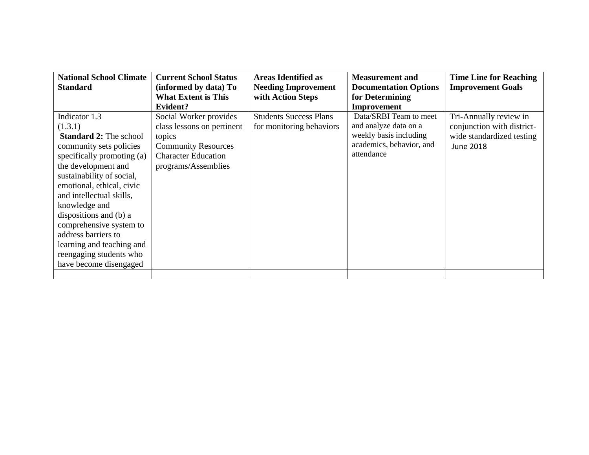| <b>National School Climate</b> | <b>Current School Status</b> | <b>Areas Identified as</b>    | <b>Measurement</b> and       | <b>Time Line for Reaching</b> |
|--------------------------------|------------------------------|-------------------------------|------------------------------|-------------------------------|
| <b>Standard</b>                | (informed by data) To        | <b>Needing Improvement</b>    | <b>Documentation Options</b> | <b>Improvement Goals</b>      |
|                                | <b>What Extent is This</b>   | with Action Steps             | for Determining              |                               |
|                                | <b>Evident?</b>              |                               | Improvement                  |                               |
| Indicator 1.3                  | Social Worker provides       | <b>Students Success Plans</b> | Data/SRBI Team to meet       | Tri-Annually review in        |
| (1.3.1)                        | class lessons on pertinent   | for monitoring behaviors      | and analyze data on a        | conjunction with district-    |
| <b>Standard 2: The school</b>  | topics                       |                               | weekly basis including       | wide standardized testing     |
| community sets policies        | <b>Community Resources</b>   |                               | academics, behavior, and     | June 2018                     |
| specifically promoting (a)     | <b>Character Education</b>   |                               | attendance                   |                               |
| the development and            | programs/Assemblies          |                               |                              |                               |
| sustainability of social,      |                              |                               |                              |                               |
| emotional, ethical, civic      |                              |                               |                              |                               |
| and intellectual skills,       |                              |                               |                              |                               |
| knowledge and                  |                              |                               |                              |                               |
| dispositions and (b) a         |                              |                               |                              |                               |
| comprehensive system to        |                              |                               |                              |                               |
| address barriers to            |                              |                               |                              |                               |
| learning and teaching and      |                              |                               |                              |                               |
| reengaging students who        |                              |                               |                              |                               |
| have become disengaged         |                              |                               |                              |                               |
|                                |                              |                               |                              |                               |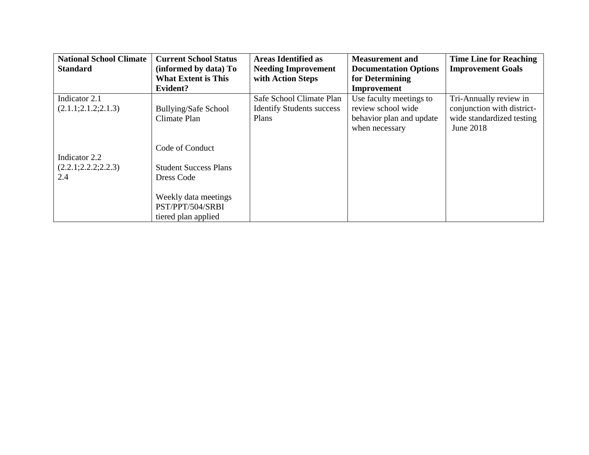| <b>National School Climate</b> | <b>Current School Status</b> | <b>Areas Identified as</b>       | <b>Measurement and</b>       | <b>Time Line for Reaching</b> |
|--------------------------------|------------------------------|----------------------------------|------------------------------|-------------------------------|
| <b>Standard</b>                | (informed by data) To        | <b>Needing Improvement</b>       | <b>Documentation Options</b> | <b>Improvement Goals</b>      |
|                                | <b>What Extent is This</b>   | with Action Steps                | for Determining              |                               |
|                                | Evident?                     |                                  | Improvement                  |                               |
| Indicator 2.1                  |                              | Safe School Climate Plan         | Use faculty meetings to      | Tri-Annually review in        |
| (2.1.1; 2.1.2; 2.1.3)          | <b>Bullying/Safe School</b>  | <b>Identify Students success</b> | review school wide           | conjunction with district-    |
|                                | Climate Plan                 | Plans                            | behavior plan and update     | wide standardized testing     |
|                                |                              |                                  | when necessary               | June 2018                     |
|                                |                              |                                  |                              |                               |
|                                | Code of Conduct              |                                  |                              |                               |
| Indicator 2.2                  |                              |                                  |                              |                               |
| (2.2.1; 2.2.2; 2.2.3)          | <b>Student Success Plans</b> |                                  |                              |                               |
| 2.4                            | Dress Code                   |                                  |                              |                               |
|                                |                              |                                  |                              |                               |
|                                | Weekly data meetings         |                                  |                              |                               |
|                                | PST/PPT/504/SRBI             |                                  |                              |                               |
|                                | tiered plan applied          |                                  |                              |                               |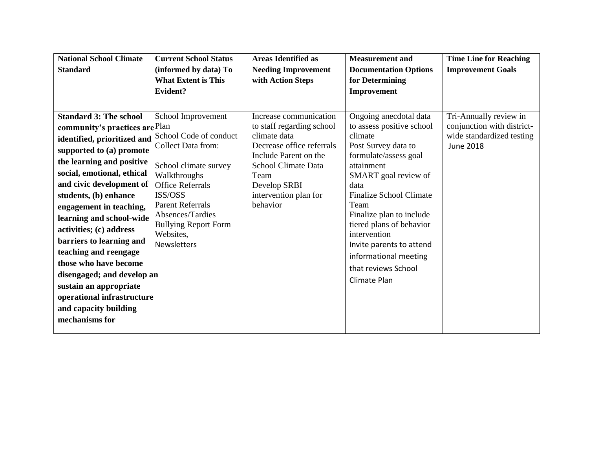| <b>National School Climate</b> | <b>Current School Status</b>                        | <b>Areas Identified as</b>                      | <b>Measurement and</b>                              | <b>Time Line for Reaching</b>                        |
|--------------------------------|-----------------------------------------------------|-------------------------------------------------|-----------------------------------------------------|------------------------------------------------------|
| <b>Standard</b>                | (informed by data) To<br><b>What Extent is This</b> | <b>Needing Improvement</b><br>with Action Steps | <b>Documentation Options</b><br>for Determining     | <b>Improvement Goals</b>                             |
|                                | Evident?                                            |                                                 | Improvement                                         |                                                      |
|                                |                                                     |                                                 |                                                     |                                                      |
| <b>Standard 3: The school</b>  |                                                     | Increase communication                          |                                                     |                                                      |
|                                | School Improvement                                  | to staff regarding school                       | Ongoing anecdotal data<br>to assess positive school | Tri-Annually review in<br>conjunction with district- |
| community's practices are Plan | School Code of conduct                              | climate data                                    | climate                                             | wide standardized testing                            |
| identified, prioritized and    | <b>Collect Data from:</b>                           | Decrease office referrals                       | Post Survey data to                                 | <b>June 2018</b>                                     |
| supported to (a) promote       |                                                     | Include Parent on the                           | formulate/assess goal                               |                                                      |
| the learning and positive      | School climate survey                               | <b>School Climate Data</b>                      | attainment                                          |                                                      |
| social, emotional, ethical     | Walkthroughs                                        | Team                                            | SMART goal review of                                |                                                      |
| and civic development of       | <b>Office Referrals</b>                             | Develop SRBI                                    | data                                                |                                                      |
| students, (b) enhance          | ISS/OSS                                             | intervention plan for                           | <b>Finalize School Climate</b>                      |                                                      |
| engagement in teaching,        | <b>Parent Referrals</b>                             | behavior                                        | Team                                                |                                                      |
| learning and school-wide       | Absences/Tardies                                    |                                                 | Finalize plan to include                            |                                                      |
| activities; (c) address        | <b>Bullying Report Form</b><br>Websites,            |                                                 | tiered plans of behavior<br>intervention            |                                                      |
| barriers to learning and       | <b>Newsletters</b>                                  |                                                 | Invite parents to attend                            |                                                      |
| teaching and reengage          |                                                     |                                                 | informational meeting                               |                                                      |
| those who have become          |                                                     |                                                 |                                                     |                                                      |
| disengaged; and develop an     |                                                     |                                                 | that reviews School                                 |                                                      |
| sustain an appropriate         |                                                     |                                                 | Climate Plan                                        |                                                      |
| operational infrastructure     |                                                     |                                                 |                                                     |                                                      |
| and capacity building          |                                                     |                                                 |                                                     |                                                      |
| mechanisms for                 |                                                     |                                                 |                                                     |                                                      |
|                                |                                                     |                                                 |                                                     |                                                      |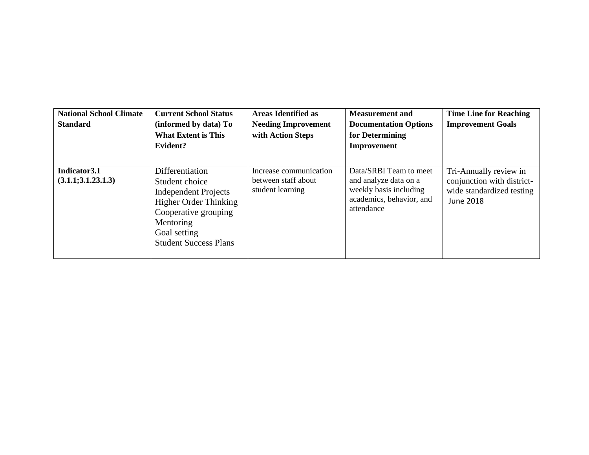| <b>National School Climate</b><br><b>Standard</b> | <b>Current School Status</b><br>(informed by data) To<br><b>What Extent is This</b><br>Evident?                                                                                       | <b>Areas Identified as</b><br><b>Needing Improvement</b><br>with Action Steps | <b>Measurement and</b><br><b>Documentation Options</b><br>for Determining<br>Improvement                            | <b>Time Line for Reaching</b><br><b>Improvement Goals</b>                                             |
|---------------------------------------------------|---------------------------------------------------------------------------------------------------------------------------------------------------------------------------------------|-------------------------------------------------------------------------------|---------------------------------------------------------------------------------------------------------------------|-------------------------------------------------------------------------------------------------------|
| Indicator 3.1<br>(3.1.1; 3.1.23.1.3)              | Differentiation<br>Student choice<br><b>Independent Projects</b><br><b>Higher Order Thinking</b><br>Cooperative grouping<br>Mentoring<br>Goal setting<br><b>Student Success Plans</b> | Increase communication<br>between staff about<br>student learning             | Data/SRBI Team to meet<br>and analyze data on a<br>weekly basis including<br>academics, behavior, and<br>attendance | Tri-Annually review in<br>conjunction with district-<br>wide standardized testing<br><b>June 2018</b> |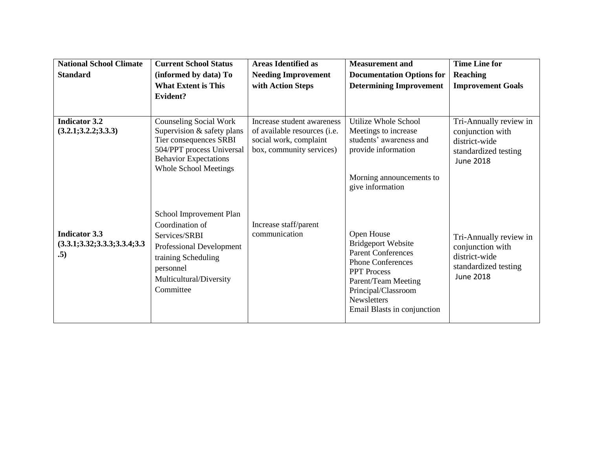| <b>National School Climate</b>                                  | <b>Current School Status</b>                                                                                                                                        | <b>Areas Identified as</b>                                                         | <b>Measurement and</b>                                                                                                                                                                                             | <b>Time Line for</b>                                                                                    |
|-----------------------------------------------------------------|---------------------------------------------------------------------------------------------------------------------------------------------------------------------|------------------------------------------------------------------------------------|--------------------------------------------------------------------------------------------------------------------------------------------------------------------------------------------------------------------|---------------------------------------------------------------------------------------------------------|
| <b>Standard</b>                                                 | (informed by data) To                                                                                                                                               | <b>Needing Improvement</b>                                                         | <b>Documentation Options for</b>                                                                                                                                                                                   | Reaching                                                                                                |
|                                                                 | <b>What Extent is This</b>                                                                                                                                          | with Action Steps                                                                  | <b>Determining Improvement</b>                                                                                                                                                                                     | <b>Improvement Goals</b>                                                                                |
|                                                                 | Evident?                                                                                                                                                            |                                                                                    |                                                                                                                                                                                                                    |                                                                                                         |
| <b>Indicator 3.2</b>                                            | <b>Counseling Social Work</b>                                                                                                                                       | Increase student awareness                                                         | Utilize Whole School                                                                                                                                                                                               | Tri-Annually review in                                                                                  |
| (3.2.1; 3.2.2; 3.3.3)                                           | Supervision & safety plans<br>Tier consequences SRBI<br>504/PPT process Universal<br><b>Behavior Expectations</b><br><b>Whole School Meetings</b>                   | of available resources (i.e.<br>social work, complaint<br>box, community services) | Meetings to increase<br>students' awareness and<br>provide information                                                                                                                                             | conjunction with<br>district-wide<br>standardized testing<br><b>June 2018</b>                           |
|                                                                 |                                                                                                                                                                     |                                                                                    | Morning announcements to<br>give information                                                                                                                                                                       |                                                                                                         |
| <b>Indicator 3.3</b><br>(3.3.1; 3.32; 3.3.3; 3.3.4; 3.3)<br>.5) | School Improvement Plan<br>Coordination of<br>Services/SRBI<br>Professional Development<br>training Scheduling<br>personnel<br>Multicultural/Diversity<br>Committee | Increase staff/parent<br>communication                                             | Open House<br><b>Bridgeport Website</b><br><b>Parent Conferences</b><br><b>Phone Conferences</b><br><b>PPT</b> Process<br>Parent/Team Meeting<br>Principal/Classroom<br>Newsletters<br>Email Blasts in conjunction | Tri-Annually review in<br>conjunction with<br>district-wide<br>standardized testing<br><b>June 2018</b> |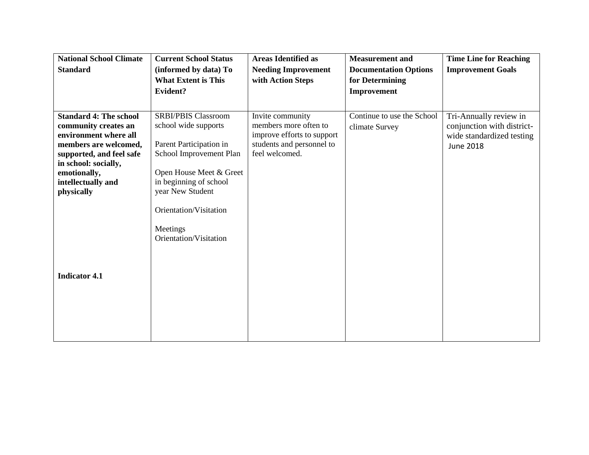| <b>National School Climate</b>                        | <b>Current School Status</b>                        | <b>Areas Identified as</b>                      | <b>Measurement</b> and                          | <b>Time Line for Reaching</b>                           |
|-------------------------------------------------------|-----------------------------------------------------|-------------------------------------------------|-------------------------------------------------|---------------------------------------------------------|
| <b>Standard</b>                                       | (informed by data) To<br><b>What Extent is This</b> | <b>Needing Improvement</b><br>with Action Steps | <b>Documentation Options</b><br>for Determining | <b>Improvement Goals</b>                                |
|                                                       | Evident?                                            |                                                 | Improvement                                     |                                                         |
|                                                       |                                                     |                                                 |                                                 |                                                         |
| <b>Standard 4: The school</b><br>community creates an | <b>SRBI/PBIS Classroom</b><br>school wide supports  | Invite community<br>members more often to       | Continue to use the School                      | Tri-Annually review in                                  |
| environment where all                                 |                                                     | improve efforts to support                      | climate Survey                                  | conjunction with district-<br>wide standardized testing |
| members are welcomed,<br>supported, and feel safe     | Parent Participation in<br>School Improvement Plan  | students and personnel to<br>feel welcomed.     |                                                 | <b>June 2018</b>                                        |
| in school: socially,                                  |                                                     |                                                 |                                                 |                                                         |
| emotionally,<br>intellectually and                    | Open House Meet & Greet<br>in beginning of school   |                                                 |                                                 |                                                         |
| physically                                            | year New Student                                    |                                                 |                                                 |                                                         |
|                                                       | Orientation/Visitation                              |                                                 |                                                 |                                                         |
|                                                       |                                                     |                                                 |                                                 |                                                         |
|                                                       | Meetings<br>Orientation/Visitation                  |                                                 |                                                 |                                                         |
|                                                       |                                                     |                                                 |                                                 |                                                         |
|                                                       |                                                     |                                                 |                                                 |                                                         |
| <b>Indicator 4.1</b>                                  |                                                     |                                                 |                                                 |                                                         |
|                                                       |                                                     |                                                 |                                                 |                                                         |
|                                                       |                                                     |                                                 |                                                 |                                                         |
|                                                       |                                                     |                                                 |                                                 |                                                         |
|                                                       |                                                     |                                                 |                                                 |                                                         |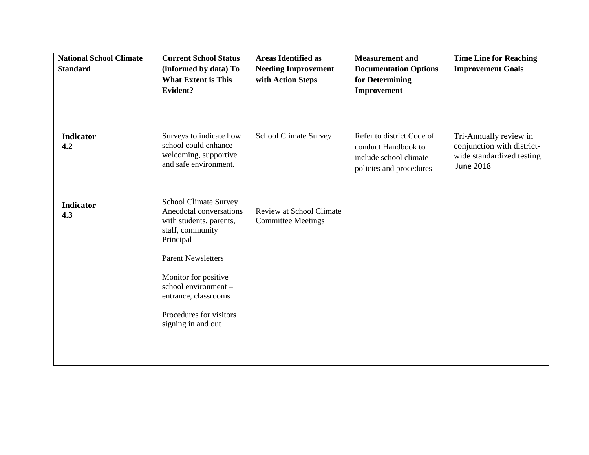| <b>National School Climate</b><br><b>Standard</b> | <b>Current School Status</b><br>(informed by data) To<br><b>What Extent is This</b><br>Evident?                                                                                                                                                                           | <b>Areas Identified as</b><br><b>Needing Improvement</b><br>with Action Steps | <b>Measurement</b> and<br><b>Documentation Options</b><br>for Determining<br>Improvement              | <b>Time Line for Reaching</b><br><b>Improvement Goals</b>                                             |
|---------------------------------------------------|---------------------------------------------------------------------------------------------------------------------------------------------------------------------------------------------------------------------------------------------------------------------------|-------------------------------------------------------------------------------|-------------------------------------------------------------------------------------------------------|-------------------------------------------------------------------------------------------------------|
| <b>Indicator</b><br>4.2                           | Surveys to indicate how<br>school could enhance<br>welcoming, supportive<br>and safe environment.                                                                                                                                                                         | <b>School Climate Survey</b>                                                  | Refer to district Code of<br>conduct Handbook to<br>include school climate<br>policies and procedures | Tri-Annually review in<br>conjunction with district-<br>wide standardized testing<br><b>June 2018</b> |
| <b>Indicator</b><br>4.3                           | <b>School Climate Survey</b><br>Anecdotal conversations<br>with students, parents,<br>staff, community<br>Principal<br><b>Parent Newsletters</b><br>Monitor for positive<br>school environment -<br>entrance, classrooms<br>Procedures for visitors<br>signing in and out | <b>Review at School Climate</b><br><b>Committee Meetings</b>                  |                                                                                                       |                                                                                                       |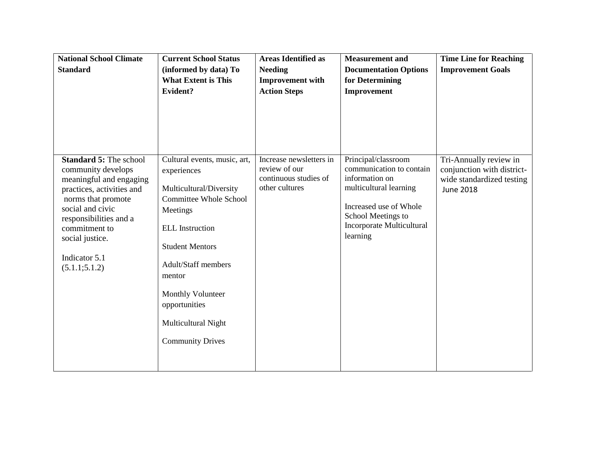| <b>National School Climate</b><br><b>Standard</b>                                                                                                                                                                                                      | <b>Current School Status</b><br>(informed by data) To<br><b>What Extent is This</b><br>Evident?                                                                                                                                                                                                         | <b>Areas Identified as</b><br><b>Needing</b><br><b>Improvement with</b><br><b>Action Steps</b> | <b>Measurement</b> and<br><b>Documentation Options</b><br>for Determining<br>Improvement                                                                                             | <b>Time Line for Reaching</b><br><b>Improvement Goals</b>                                             |
|--------------------------------------------------------------------------------------------------------------------------------------------------------------------------------------------------------------------------------------------------------|---------------------------------------------------------------------------------------------------------------------------------------------------------------------------------------------------------------------------------------------------------------------------------------------------------|------------------------------------------------------------------------------------------------|--------------------------------------------------------------------------------------------------------------------------------------------------------------------------------------|-------------------------------------------------------------------------------------------------------|
| <b>Standard 5: The school</b><br>community develops<br>meaningful and engaging<br>practices, activities and<br>norms that promote<br>social and civic<br>responsibilities and a<br>commitment to<br>social justice.<br>Indicator 5.1<br>(5.1.1; 5.1.2) | Cultural events, music, art,<br>experiences<br>Multicultural/Diversity<br><b>Committee Whole School</b><br>Meetings<br><b>ELL</b> Instruction<br><b>Student Mentors</b><br><b>Adult/Staff members</b><br>mentor<br>Monthly Volunteer<br>opportunities<br>Multicultural Night<br><b>Community Drives</b> | Increase newsletters in<br>review of our<br>continuous studies of<br>other cultures            | Principal/classroom<br>communication to contain<br>information on<br>multicultural learning<br>Increased use of Whole<br>School Meetings to<br>Incorporate Multicultural<br>learning | Tri-Annually review in<br>conjunction with district-<br>wide standardized testing<br><b>June 2018</b> |